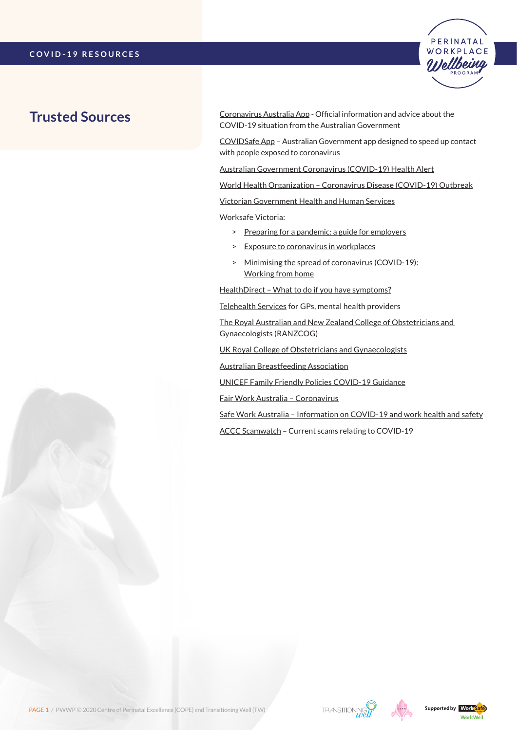

# **Trusted Sources**

[Coronavirus Australia App](https://www.health.gov.au/resources/apps-and-tools/coronavirus-australia-app) - Official information and advice about the COVID-19 situation from the Australian Government

[COVIDSafe App](https://www.health.gov.au/resources/apps-and-tools/covidsafe-app) – Australian Government app designed to speed up contact with people exposed to coronavirus

[Australian Government Coronavirus \(COVID-19\) Health Alert](https://www.health.gov.au/news/health-alerts/novel-coronavirus-2019-ncov-health-alert)

[World Health Organization – Coronavirus Disease \(COVID-19\) Outbreak](https://www.who.int/emergencies/diseases/novel-coronavirus-2019/events-as-they-happen)

[Victorian Government Health and Human Services](https://www.dhhs.vic.gov.au/coronavirus)

Worksafe Victoria:

- > [Preparing for a pandemic: a guide for employers](https://content.api.worksafe.vic.gov.au/sites/default/files/2020-02/ISBN-Preparing-pandemic-guide-employers-2020-02.pdf)
- > [Exposure to coronavirus in workplaces](https://www.worksafe.vic.gov.au/safety-alerts/exposure-coronavirus-workplaces)
- > [Minimising the spread of coronavirus \(COVID-19\):](https://www.worksafe.vic.gov.au/minimising-spread-coronavirus-covid-19-working-home)  [Working from home](https://www.worksafe.vic.gov.au/minimising-spread-coronavirus-covid-19-working-home)

[HealthDirect – What to do if you have symptoms?](https://www.healthdirect.gov.au/coronavirus)

[Telehealth Services](https://www.health.gov.au/resources/publications/covid-19-national-health-plan-primary-care-bulk-billed-mbs-telehealth-services) for GPs, mental health providers

[The Royal Australian and New Zealand College of Obstetricians and](https://ranzcog.edu.au/news)  [Gynaecologists](https://ranzcog.edu.au/news) (RANZCOG)

[UK Royal College of Obstetricians and Gynaecologists](http://www.rcog.org.uk/coronavirus-pregnancy)

[Australian Breastfeeding Association](https://www.breastfeeding.asn.au/bfinfo/covid-19)

[UNICEF Family Friendly Policies COVID-19 Guidance](https://www.unicef.org/media/66351/file/Family-friendly-policies-covid-19-guidance-2020.pdf)

[Fair Work Australia – Coronavirus](https://coronavirus.fairwork.gov.au/)

[Safe Work Australia – Information on COVID-19 and work health and safety](https://www.safeworkaustralia.gov.au/covid-19-information-workplaces)

[ACCC Scamwatch](https://www.scamwatch.gov.au/types-of-scams/current-covid-19-coronavirus-scams) – Current scams relating to COVID-19





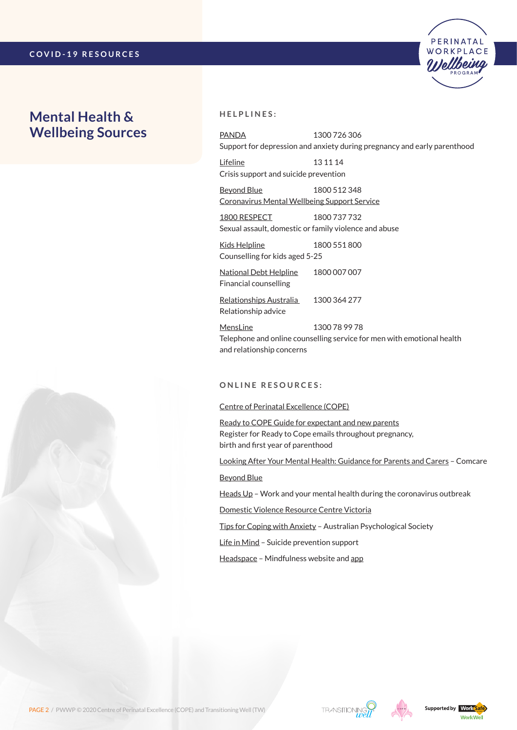## **Mental Health & Wellbeing Sources**



[PANDA](http://www.panda.org.au/) 1300 726 306 Support for depression and anxiety during pregnancy and early parenthood

PERINATAL WORKPLACE

[Lifeline](https://www.lifeline.org.au/) 13 11 14 Crisis support and suicide prevention

[Beyond Blue](https://coronavirus.beyondblue.org.au/) 1800 512 348 Coronavirus [Mental Wellbeing Support Service](https://coronavirus.beyondblue.org.au/)

[1800 RESPECT](https://www.1800respect.org.au/) 1800 737 732 Sexual assault, domestic or family violence and abuse

[Kids Helpline](https://kidshelpline.com.au/) 1800 551 800 Counselling for kids aged 5-25

[National Debt Helpline](https://ndh.org.au/) 1800 007 007 Financial counselling

[Relationships Australia](https://www.relationships.org.au/) 1300 364 277 Relationship advice

[MensLine](https://mensline.org.au/) 1300 78 99 78 Telephone and online counselling service for men with emotional health and relationship concerns

### **O n l i n e R esources :**

### [Centre of Perinatal Excellence \(COPE\)](https://www.cope.org.au/getting-help/self-help/covid-19-updates-for-pregnant-women-children-and-parents/)

[Ready to COPE Guide for expectant and new parents](https://www.cope.org.au/readytocope/) Register for Ready to Cope emails throughout pregnancy, birth and first year of parenthood

[Looking After Your Mental Health: Guidance for Parents and Carers](https://www.comcare.gov.au/about/forms-publications/documents/publications/safety/coronavirus-parents-and-carers-factsheet.pdf) – Comcare

[Beyond Blue](https://www.beyondblue.org.au/the-facts/looking-after-your-mental-health-during-the-coronavirus-outbreak)

[Heads Up](https://www.headsup.org.au/your-mental-health/work-and-your-mental-health-during-the-coronavirus-outbreak) – Work and your mental health during the coronavirus outbreak

[Domestic Violence Resource Centre Victoria](http://www.dvrcv.org.au/help-advice/coronavirus-covid-19-and-family-violence)

[Tips for Coping with Anxiety](https://www.psychology.org.au/COVID-19-Australians) – Australian Psychological Society

[Life in Mind](https://www.lifeinmindaustralia.com.au/support-for-those-impacted-by-adverse-events/mental-health-support-for-covid-19) – Suicide prevention support

[Headspace](https://www.headspace.com/covid-19) – Mindfulness website and [app](https://apps.apple.com/us/app/headspace-meditation-sleep/id493145008)